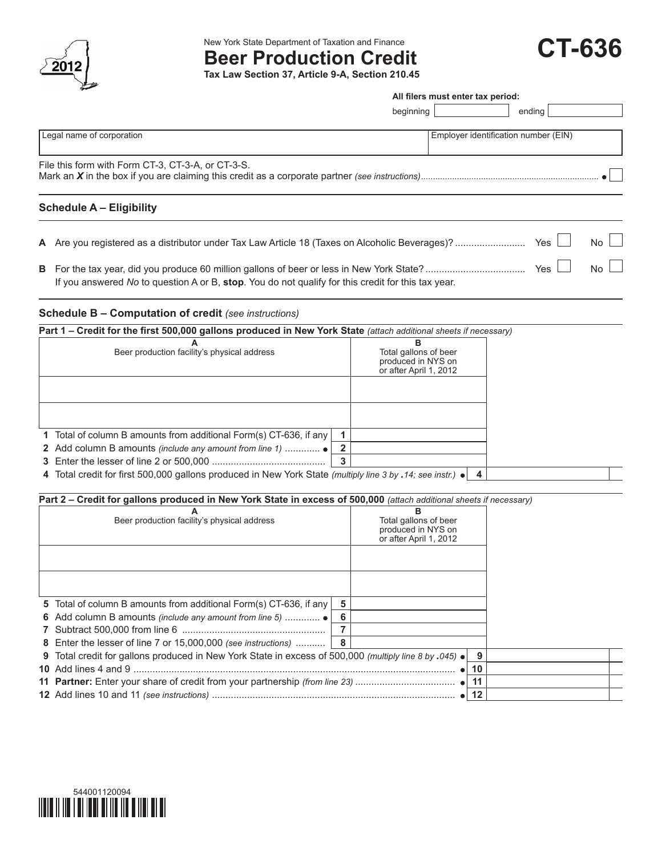

New York State Department of Taxation and Finance

# **Beer Production Credit**

**Tax Law Section 37, Article 9-A, Section 210.45**

| <b>CT-636</b> |
|---------------|
|---------------|

**All filers must enter tax period:**

| beginning                                         |                                      | ending |             |
|---------------------------------------------------|--------------------------------------|--------|-------------|
| Legal name of corporation                         | Employer identification number (EIN) |        |             |
| File this form with Form CT-3, CT-3-A, or CT-3-S. |                                      |        |             |
| <b>Schedule A - Eligibility</b>                   |                                      |        |             |
|                                                   |                                      | Yes    | $No$ $\Box$ |
|                                                   |                                      | Yes.   | $No \perp$  |

If you answered *No* to question A or B, **stop**. You do not qualify for this credit for this tax year.

### **Schedule B – Computation of credit** *(see instructions)*

| Part 1 – Credit for the first 500,000 gallons produced in New York State (attach additional sheets if necessary)   |                                             |
|--------------------------------------------------------------------------------------------------------------------|---------------------------------------------|
|                                                                                                                    | в                                           |
| Beer production facility's physical address                                                                        | Total gallons of beer<br>produced in NYS on |
|                                                                                                                    | or after April 1, 2012                      |
|                                                                                                                    |                                             |
|                                                                                                                    |                                             |
|                                                                                                                    |                                             |
|                                                                                                                    |                                             |
| 1 Total of column B amounts from additional Form(s) CT-636, if any                                                 |                                             |
|                                                                                                                    |                                             |
|                                                                                                                    | 3                                           |
| 4 Total credit for first 500,000 gallons produced in New York State (multiply line 3 by .14; see instr.) $\bullet$ | 4                                           |

## **Part 2 – Credit for gallons produced in New York State in excess of 500,000** (attach additional sheets if necessary)

| A<br>Beer production facility's physical address                                                       |     | в<br>Total gallons of beer                   |    |  |
|--------------------------------------------------------------------------------------------------------|-----|----------------------------------------------|----|--|
|                                                                                                        |     | produced in NYS on<br>or after April 1, 2012 |    |  |
|                                                                                                        |     |                                              |    |  |
|                                                                                                        |     |                                              |    |  |
|                                                                                                        |     |                                              |    |  |
| 5 Total of column B amounts from additional Form(s) CT-636, if any                                     | 5   |                                              |    |  |
| 6 Add column B amounts <i>(include any amount from line 5) </i> •                                      | 6   |                                              |    |  |
|                                                                                                        |     |                                              |    |  |
| 8 Enter the lesser of line 7 or 15,000,000 (see instructions)                                          | - 8 |                                              |    |  |
| 9 Total credit for gallons produced in New York State in excess of 500,000 (multiply line 8 by .045) . |     |                                              | 9  |  |
|                                                                                                        |     |                                              | 10 |  |
|                                                                                                        |     |                                              | 11 |  |
|                                                                                                        |     | $\bullet$ 1                                  | 12 |  |